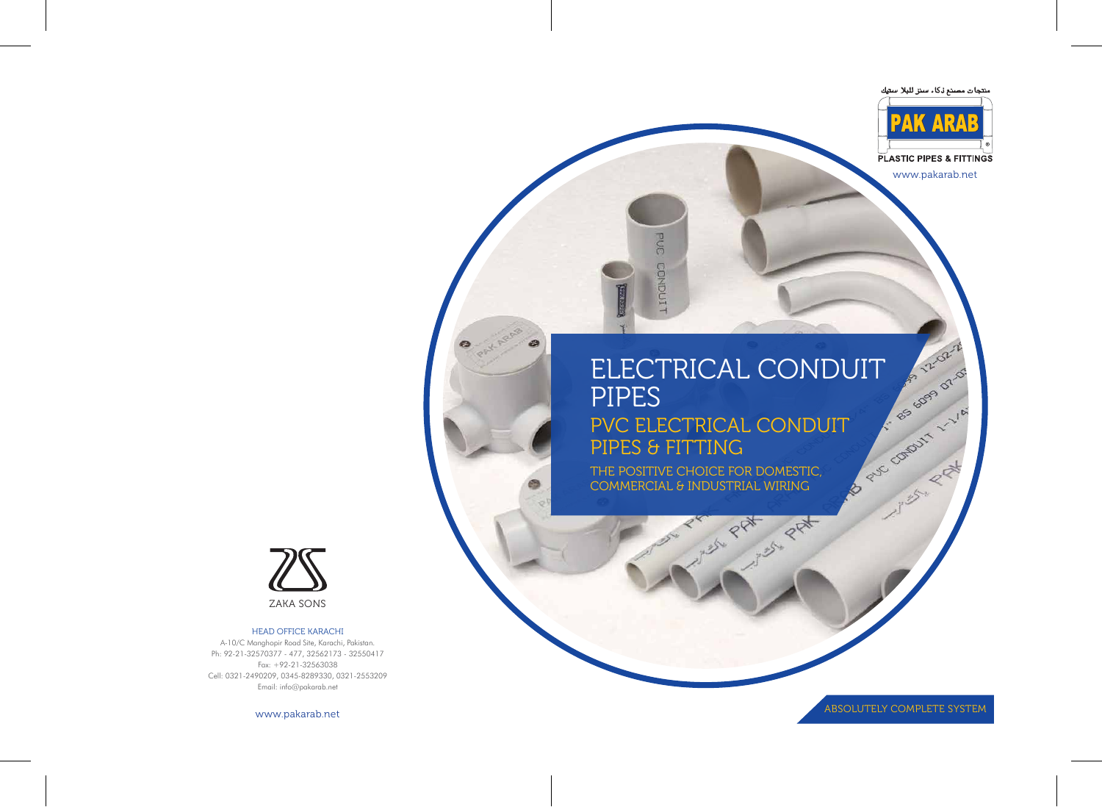# ELECTRICAL CONDUIT PIPES **B PUC COMPUT 1 - 1 / A** PVC ELECTRICAL CONDUIT PIPES & FITTING

**PRAY PRAY** 

THE POSITIVE CHOICE FOR DOMESTIC, COMMERCIAL & INDUSTRIAL WIRING

**GOG** 

CONDUTT

ABSOLUTELY COMPLETE SYSTEM

**SERVICE CONTROL** 

www.pakarab.net

2-2-52-2



#### HEAD OFFICE KARACHI

A-10/C Manghopir Road Site, Karachi, Pakistan. Ph: 92-21-32570377 - 477, 32562173 - 32550417 Fax: +92-21-32563038 Cell: 0321-2490209, 0345-8289330, 0321-2553209 Email: info@pakarab.net

www.pakarab.net





**PLASTIC PIPES & FITTINGS**